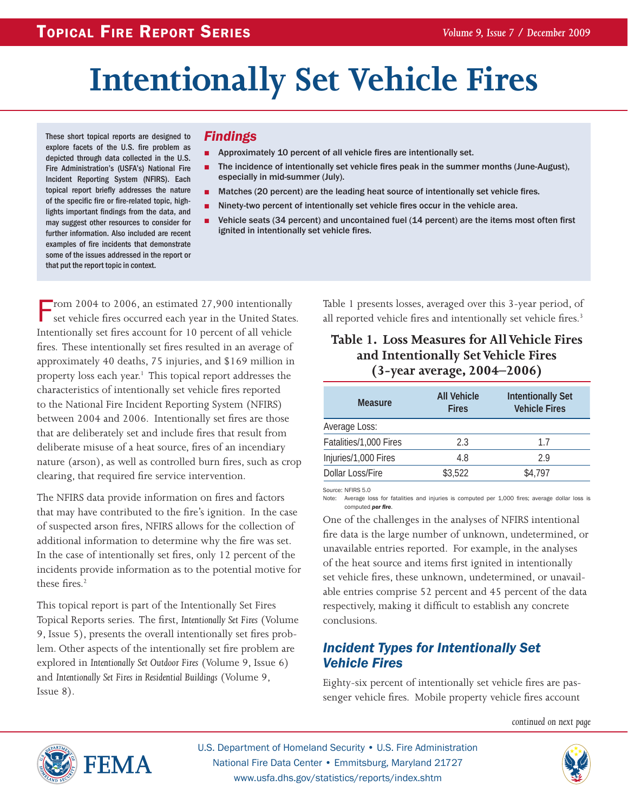# **Intentionally Set Vehicle Fires**

These short topical reports are designed to explore facets of the U.S. fire problem as depicted through data collected in the U.S. Fire Administration's (USFA's) National Fire Incident Reporting System (NFIRS). Each topical report briefly addresses the nature of the specific fire or fire-related topic, highlights important findings from the data, and may suggest other resources to consider for further information. Also included are recent examples of fire incidents that demonstrate some of the issues addressed in the report or that put the report topic in context.

#### *Findings*

- Approximately 10 percent of all vehicle fires are intentionally set.
- The incidence of intentionally set vehicle fires peak in the summer months (June-August), especially in mid-summer (July).
- Matches (20 percent) are the leading heat source of intentionally set vehicle fires.
- Ninety-two percent of intentionally set vehicle fires occur in the vehicle area.
- Vehicle seats (34 percent) and uncontained fuel (14 percent) are the items most often first ignited in intentionally set vehicle fires.

From 2004 to 2006, an estimated  $27,900$  intentionally set vehicle fires occurred each year in the United States. Intentionally set fires account for 10 percent of all vehicle fires. These intentionally set fires resulted in an average of approximately 40 deaths, 75 injuries, and \$169 million in property loss each year.<sup>1</sup> This topical report addresses the characteristics of intentionally set vehicle fires reported to the National Fire Incident Reporting System (NFIRS) between 2004 and 2006. Intentionally set fires are those that are deliberately set and include fires that result from deliberate misuse of a heat source, fires of an incendiary nature (arson), as well as controlled burn fires, such as crop clearing, that required fire service intervention.

The NFIRS data provide information on fires and factors that may have contributed to the fire's ignition. In the case of suspected arson fires, NFIRS allows for the collection of additional information to determine why the fire was set. In the case of intentionally set fires, only 12 percent of the incidents provide information as to the potential motive for these fires.<sup>2</sup>

This topical report is part of the Intentionally Set Fires Topical Reports series. The first, *Intentionally Set Fires* (Volume 9, Issue 5), presents the overall intentionally set fires problem. Other aspects of the intentionally set fire problem are explored in *Intentionally Set Outdoor Fires* (Volume 9, Issue 6) and *Intentionally Set Fires in Residential Buildings* (Volume 9, Issue 8).

Table 1 presents losses, averaged over this 3-year period, of all reported vehicle fires and intentionally set vehicle fires.<sup>3</sup>

#### **Table 1. Loss Measures for All Vehicle Fires and Intentionally Set Vehicle Fires (3-year average, 2004–2006)**

| <b>Measure</b>         | <b>All Vehicle</b><br><b>Fires</b> | <b>Intentionally Set</b><br><b>Vehicle Fires</b> |
|------------------------|------------------------------------|--------------------------------------------------|
| Average Loss:          |                                    |                                                  |
| Fatalities/1,000 Fires | 2.3                                | 17                                               |
| Injuries/1,000 Fires   | 4.8                                | 29                                               |
| Dollar Loss/Fire       | \$3,522                            | \$4,797                                          |

Source: NFIRS 5.0

Note: Average loss for fatalities and injuries is computed per 1,000 fires; average dollar loss is computed *per fire*.

One of the challenges in the analyses of NFIRS intentional fire data is the large number of unknown, undetermined, or unavailable entries reported. For example, in the analyses of the heat source and items first ignited in intentionally set vehicle fires, these unknown, undetermined, or unavailable entries comprise 52 percent and 45 percent of the data respectively, making it difficult to establish any concrete conclusions.

## *Incident Types for Intentionally Set Vehicle Fires*

Eighty-six percent of intentionally set vehicle fires are passenger vehicle fires. Mobile property vehicle fires account

*continued on next page*



U.S. Department of Homeland Security • U.S. Fire Administration National Fire Data Center • Emmitsburg, Maryland 21727 www.usfa.dhs.gov/statistics/reports/index.shtm

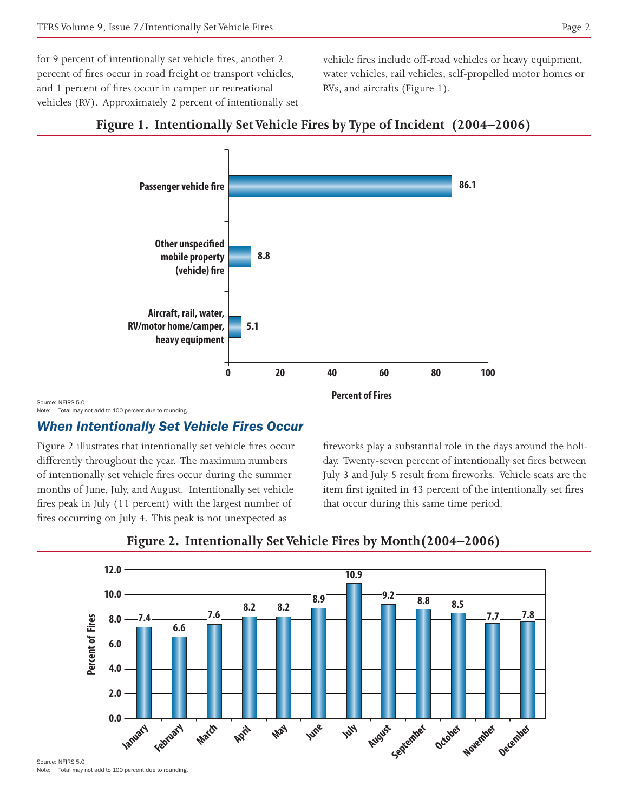for 9 percent of intentionally set vehicle fires, another 2 percent of fires occur in road freight or transport vehicles, and 1 percent of fires occur in camper or recreational vehicles (RV). Approximately 2 percent of intentionally set vehicle fires include off-road vehicles or heavy equipment, water vehicles, rail vehicles, self-propelled motor homes or RVs, and aircrafts (Figure 1).



#### **Figure 1. Intentionally Set Vehicle Fires by Type of Incident (2004–2006)**

Source: NEIRS 5.0 Note: Total may not add to 100 percent due to rounding.

## *When Intentionally Set Vehicle Fires Occur*

Figure 2 illustrates that intentionally set vehicle fires occur differently throughout the year. The maximum numbers of intentionally set vehicle fires occur during the summer months of June, July, and August. Intentionally set vehicle fires peak in July (11 percent) with the largest number of fires occurring on July 4. This peak is not unexpected as

fireworks play a substantial role in the days around the holiday. Twenty-seven percent of intentionally set fires between July 3 and July 5 result from fireworks. Vehicle seats are the item first ignited in 43 percent of the intentionally set fires that occur during this same time period.



#### **Figure 2. Intentionally Set Vehicle Fires by Month(2004–2006)**

Source: NFIRS 5.0

Note: Total may not add to 100 percent due to rounding.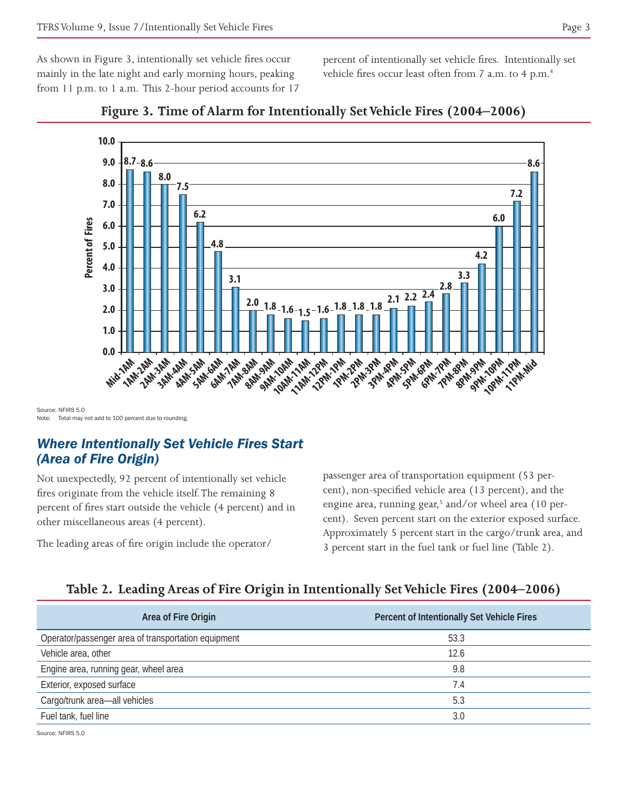As shown in Figure 3, intentionally set vehicle fires occur mainly in the late night and early morning hours, peaking from 11 p.m. to 1 a.m. This 2-hour period accounts for 17 percent of intentionally set vehicle fires. Intentionally set vehicle fires occur least often from 7 a.m. to 4 p.m.<sup>4</sup>



#### **Figure 3. Time of Alarm for Intentionally Set Vehicle Fires (2004–2006)**

Source: NEIRS 5.0 Note: Total may not add to 100 percent due to rounding.

#### *Where Intentionally Set Vehicle Fires Start (Area of Fire Origin)*

Not unexpectedly, 92 percent of intentionally set vehicle fires originate from the vehicle itself. The remaining 8 percent of fires start outside the vehicle (4 percent) and in other miscellaneous areas (4 percent).

The leading areas of fire origin include the operator/

**Start**<br> **Start**<br> **Start**<br> **Start**<br> **Start**<br> **Start**<br> **Start**<br> **Start**<br> **Start**<br> **Start**<br> **Start**<br> **Start**<br> **Start**<br> **Start**<br> **Start**<br> **Start**<br> **Start**<br> **Start**<br> **Start**<br> **Start**<br> **Start**<br> **Start**<br> **Start**<br> **Start**<br> **Start 7PM-8PM 8PM-9PM 9PM-10PM 10PM-11PM** passenger area of transportation equipment (53 percent), non-specified vehicle area (13 percent), and the engine area, running gear,<sup>5</sup> and/or wheel area (10 percent). Seven percent start on the exterior exposed surface. Approximately 5 percent start in the cargo/trunk area, and 3 percent start in the fuel tank or fuel line (Table 2).

#### **Table 2. Leading Areas of Fire Origin in Intentionally Set Vehicle Fires (2004–2006)**

| Area of Fire Origin                                 | Percent of Intentionally Set Vehicle Fires |
|-----------------------------------------------------|--------------------------------------------|
| Operator/passenger area of transportation equipment | 53.3                                       |
| Vehicle area, other                                 | 12.6                                       |
| Engine area, running gear, wheel area               | 9.8                                        |
| Exterior, exposed surface                           | 7.4                                        |
| Cargo/trunk area-all vehicles                       | 5.3                                        |
| Fuel tank, fuel line                                | 3.0                                        |

Source: NFIRS 5.0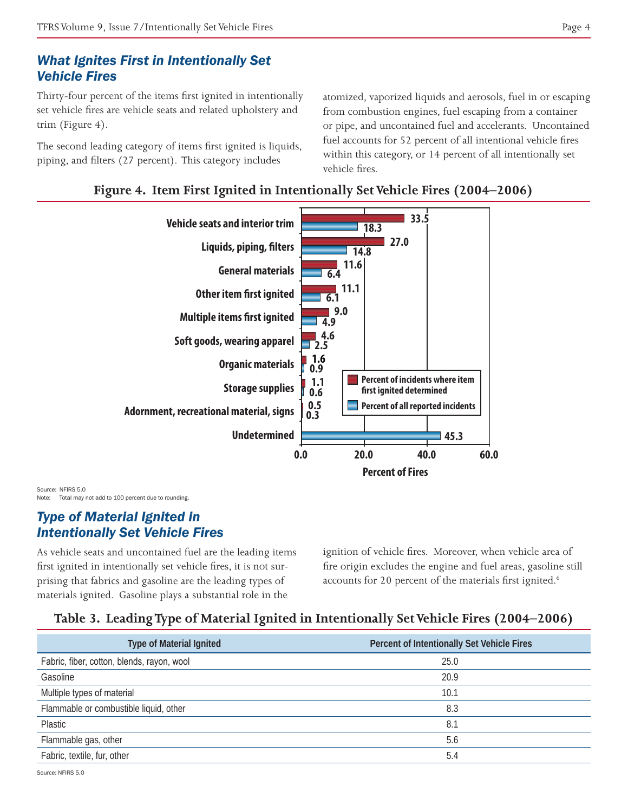# *What Ignites First in Intentionally Set Vehicle Fires*

Thirty-four percent of the items first ignited in intentionally set vehicle fires are vehicle seats and related upholstery and trim (Figure 4).

The second leading category of items first ignited is liquids, piping, and filters (27 percent). This category includes

atomized, vaporized liquids and aerosols, fuel in or escaping from combustion engines, fuel escaping from a container or pipe, and uncontained fuel and accelerants. Uncontained fuel accounts for 52 percent of all intentional vehicle fires within this category, or 14 percent of all intentionally set vehicle fires.





Source: NFIRS 5.0 Note: Total may not add to 100 percent due to rounding.

## *Type of Material Ignited in Intentionally Set Vehicle Fires*

As vehicle seats and uncontained fuel are the leading items first ignited in intentionally set vehicle fires, it is not surprising that fabrics and gasoline are the leading types of materials ignited. Gasoline plays a substantial role in the

ignition of vehicle fires. Moreover, when vehicle area of fire origin excludes the engine and fuel areas, gasoline still accounts for 20 percent of the materials first ignited.<sup>6</sup>

# **Table 3. Leading Type of Material Ignited in Intentionally Set Vehicle Fires (2004–2006)**

| <b>Type of Material Ignited</b>            | Percent of Intentionally Set Vehicle Fires |
|--------------------------------------------|--------------------------------------------|
| Fabric, fiber, cotton, blends, rayon, wool | 25.0                                       |
| Gasoline                                   | 20.9                                       |
| Multiple types of material                 | 10.1                                       |
| Flammable or combustible liquid, other     | 8.3                                        |
| Plastic                                    | 8.1                                        |
| Flammable gas, other                       | 5.6                                        |
| Fabric, textile, fur, other                | 5.4                                        |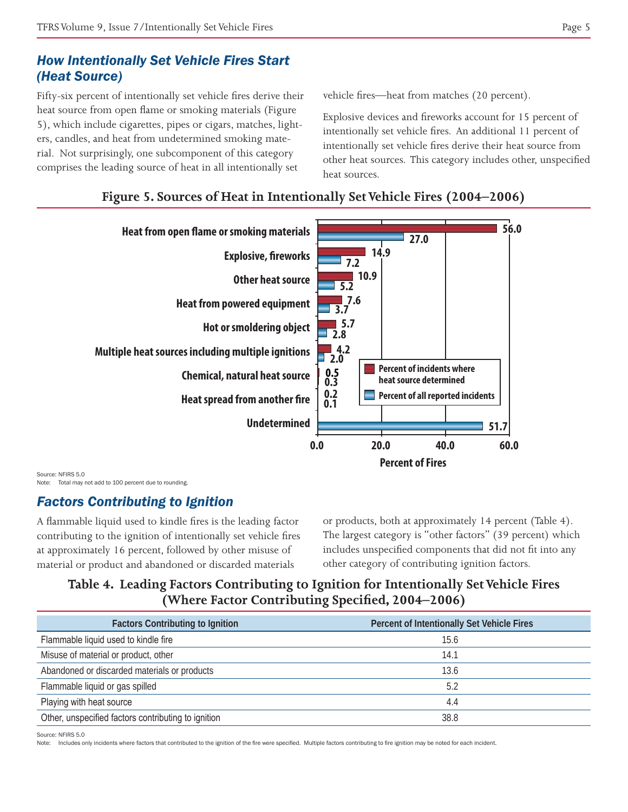# *How Intentionally Set Vehicle Fires Start (Heat Source)*

Fifty-six percent of intentionally set vehicle fires derive their heat source from open flame or smoking materials (Figure 5), which include cigarettes, pipes or cigars, matches, lighters, candles, and heat from undetermined smoking material. Not surprisingly, one subcomponent of this category comprises the leading source of heat in all intentionally set

vehicle fires—heat from matches (20 percent).

Explosive devices and fireworks account for 15 percent of intentionally set vehicle fires. An additional 11 percent of intentionally set vehicle fires derive their heat source from other heat sources. This category includes other, unspecified heat sources.



#### **Figure 5. Sources of Heat in Intentionally Set Vehicle Fires (2004–2006)**

Source: NFIRS 5.0 Note: Total may not add to 100 percent due to rounding.

#### *Factors Contributing to Ignition*

A flammable liquid used to kindle fires is the leading factor contributing to the ignition of intentionally set vehicle fires at approximately 16 percent, followed by other misuse of material or product and abandoned or discarded materials

or products, both at approximately 14 percent (Table 4). The largest category is "other factors" (39 percent) which includes unspecified components that did not fit into any other category of contributing ignition factors.

## **Table 4. Leading Factors Contributing to Ignition for Intentionally Set Vehicle Fires (Where Factor Contributing Specified, 2004–2006)**

| <b>Factors Contributing to Ignition</b>             | Percent of Intentionally Set Vehicle Fires |
|-----------------------------------------------------|--------------------------------------------|
| Flammable liquid used to kindle fire                | 15.6                                       |
| Misuse of material or product, other                | 14.1                                       |
| Abandoned or discarded materials or products        | 13.6                                       |
| Flammable liquid or gas spilled                     | 5.2                                        |
| Playing with heat source                            | 4.4                                        |
| Other, unspecified factors contributing to ignition | 38.8                                       |

Source: NFIRS 5.0

Note: Includes only incidents where factors that contributed to the ignition of the fire were specified. Multiple factors contributing to fire ignition may be noted for each incident.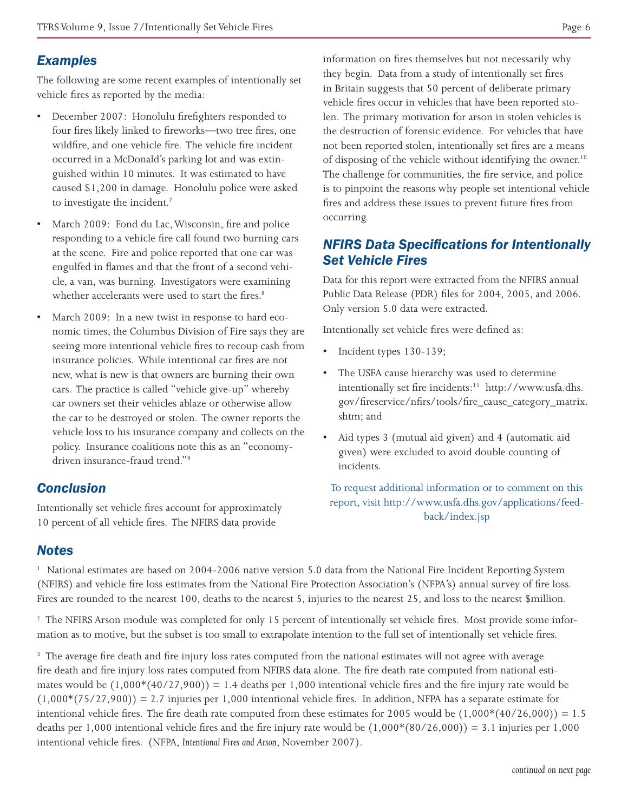# *Examples*

The following are some recent examples of intentionally set vehicle fires as reported by the media:

- December 2007: Honolulu firefighters responded to four fires likely linked to fireworks—two tree fires, one wildfire, and one vehicle fire. The vehicle fire incident occurred in a McDonald's parking lot and was extinguished within 10 minutes. It was estimated to have caused \$1,200 in damage. Honolulu police were asked to investigate the incident.<sup>7</sup>
- March 2009: Fond du Lac, Wisconsin, fire and police responding to a vehicle fire call found two burning cars at the scene. Fire and police reported that one car was engulfed in flames and that the front of a second vehicle, a van, was burning. Investigators were examining whether accelerants were used to start the fires.<sup>8</sup>
- March 2009: In a new twist in response to hard economic times, the Columbus Division of Fire says they are seeing more intentional vehicle fires to recoup cash from insurance policies. While intentional car fires are not new, what is new is that owners are burning their own cars. The practice is called "vehicle give-up" whereby car owners set their vehicles ablaze or otherwise allow the car to be destroyed or stolen. The owner reports the vehicle loss to his insurance company and collects on the policy. Insurance coalitions note this as an "economydriven insurance-fraud trend."9

# *Conclusion*

Intentionally set vehicle fires account for approximately 10 percent of all vehicle fires. The NFIRS data provide

information on fires themselves but not necessarily why they begin. Data from a study of intentionally set fires in Britain suggests that 50 percent of deliberate primary vehicle fires occur in vehicles that have been reported stolen. The primary motivation for arson in stolen vehicles is the destruction of forensic evidence. For vehicles that have not been reported stolen, intentionally set fires are a means of disposing of the vehicle without identifying the owner.<sup>10</sup> The challenge for communities, the fire service, and police is to pinpoint the reasons why people set intentional vehicle fires and address these issues to prevent future fires from occurring.

# *NFIRS Data Specifications for Intentionally Set Vehicle Fires*

Data for this report were extracted from the NFIRS annual Public Data Release (PDR) files for 2004, 2005, and 2006. Only version 5.0 data were extracted.

Intentionally set vehicle fires were defined as:

- Incident types 130-139;
- The USFA cause hierarchy was used to determine intentionally set fire incidents:<sup>11</sup> http://www.usfa.dhs. gov/fireservice/nfirs/tools/fire\_cause\_category\_matrix. shtm; and
- Aid types 3 (mutual aid given) and 4 (automatic aid given) were excluded to avoid double counting of incidents.

To request additional information or to comment on this report, visit http://www.usfa.dhs.gov/applications/feedback/index.jsp

# *Notes*

<sup>1</sup> National estimates are based on 2004-2006 native version 5.0 data from the National Fire Incident Reporting System (NFIRS) and vehicle fire loss estimates from the National Fire Protection Association's (NFPA's) annual survey of fire loss. Fires are rounded to the nearest 100, deaths to the nearest 5, injuries to the nearest 25, and loss to the nearest \$million.

<sup>2</sup> The NFIRS Arson module was completed for only 15 percent of intentionally set vehicle fires. Most provide some information as to motive, but the subset is too small to extrapolate intention to the full set of intentionally set vehicle fires.

<sup>3</sup> The average fire death and fire injury loss rates computed from the national estimates will not agree with average fire death and fire injury loss rates computed from NFIRS data alone. The fire death rate computed from national estimates would be  $(1,000*(40/27,900)) = 1.4$  deaths per 1,000 intentional vehicle fires and the fire injury rate would be  $(1,000*(75/27,900)) = 2.7$  injuries per 1,000 intentional vehicle fires. In addition, NFPA has a separate estimate for intentional vehicle fires. The fire death rate computed from these estimates for 2005 would be  $(1,000*(40/26,000)) = 1.5$ deaths per 1,000 intentional vehicle fires and the fire injury rate would be  $(1,000*(80/26,000)) = 3.1$  injuries per 1,000 intentional vehicle fires. (NFPA, *Intentional Fires and Arson*, November 2007).